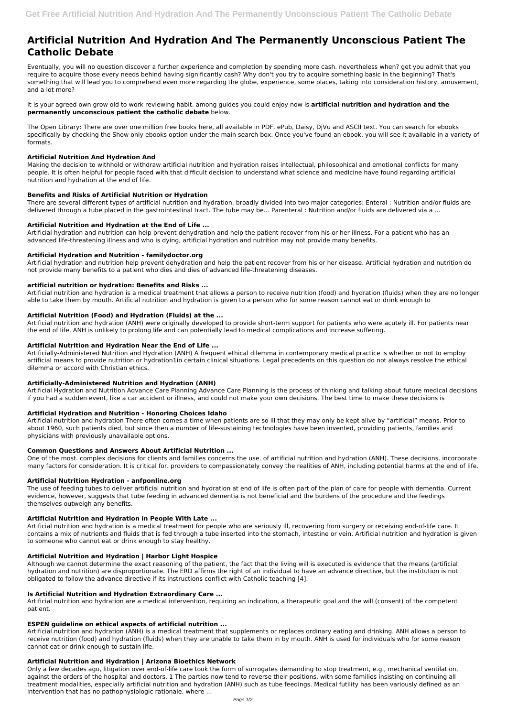# **Artificial Nutrition And Hydration And The Permanently Unconscious Patient The Catholic Debate**

Eventually, you will no question discover a further experience and completion by spending more cash. nevertheless when? get you admit that you require to acquire those every needs behind having significantly cash? Why don't you try to acquire something basic in the beginning? That's something that will lead you to comprehend even more regarding the globe, experience, some places, taking into consideration history, amusement, and a lot more?

It is your agreed own grow old to work reviewing habit. among guides you could enjoy now is **artificial nutrition and hydration and the permanently unconscious patient the catholic debate** below.

There are several different types of artificial nutrition and hydration, broadly divided into two major categories: Enteral : Nutrition and/or fluids are delivered through a tube placed in the gastrointestinal tract. The tube may be... Parenteral : Nutrition and/or fluids are delivered via a ...

The Open Library: There are over one million free books here, all available in PDF, ePub, Daisy, DjVu and ASCII text. You can search for ebooks specifically by checking the Show only ebooks option under the main search box. Once you've found an ebook, you will see it available in a variety of formats.

## **Artificial Nutrition And Hydration And**

Making the decision to withhold or withdraw artificial nutrition and hydration raises intellectual, philosophical and emotional conflicts for many people. It is often helpful for people faced with that difficult decision to understand what science and medicine have found regarding artificial nutrition and hydration at the end of life.

## **Benefits and Risks of Artificial Nutrition or Hydration**

## **Artificial Nutrition and Hydration at the End of Life ...**

Artificial hydration and nutrition can help prevent dehydration and help the patient recover from his or her illness. For a patient who has an advanced life-threatening illness and who is dying, artificial hydration and nutrition may not provide many benefits.

## **Artificial Hydration and Nutrition - familydoctor.org**

Artificial hydration and nutrition help prevent dehydration and help the patient recover from his or her disease. Artificial hydration and nutrition do not provide many benefits to a patient who dies and dies of advanced life-threatening diseases.

# **artificial nutrition or hydration: Benefits and Risks ...**

Artificial nutrition and hydration is a medical treatment that allows a person to receive nutrition (food) and hydration (fluids) when they are no longer able to take them by mouth. Artificial nutrition and hydration is given to a person who for some reason cannot eat or drink enough to

# **Artificial Nutrition (Food) and Hydration (Fluids) at the ...**

Artificial nutrition and hydration (ANH) were originally developed to provide short-term support for patients who were acutely ill. For patients near the end of life, ANH is unlikely to prolong life and can potentially lead to medical complications and increase suffering.

#### **Artificial Nutrition and Hydration Near the End of Life ...**

Artificially-Administered Nutrition and Hydration (ANH) A frequent ethical dilemma in contemporary medical practice is whether or not to employ artificial means to provide nutrition or hydration1in certain clinical situations. Legal precedents on this question do not always resolve the ethical dilemma or accord with Christian ethics.

#### **Artificially-Administered Nutrition and Hydration (ANH)**

Artificial Hydration and Nutrition Advance Care Planning Advance Care Planning is the process of thinking and talking about future medical decisions if you had a sudden event, like a car accident or illness, and could not make your own decisions. The best time to make these decisions is

#### **Artificial Hydration and Nutrition - Honoring Choices Idaho**

Artificial nutrition and hydration There often comes a time when patients are so ill that they may only be kept alive by "artificial" means. Prior to about 1960, such patients died, but since then a number of life-sustaining technologies have been invented, providing patients, families and physicians with previously unavailable options.

#### **Common Questions and Answers About Artificial Nutrition ...**

One of the most. complex decisions for clients and families concerns the use. of artificial nutrition and hydration (ANH). These decisions. incorporate many factors for consideration. It is critical for. providers to compassionately convey the realities of ANH, including potential harms at the end of life.

#### **Artificial Nutrition Hydration - anfponline.org**

The use of feeding tubes to deliver artificial nutrition and hydration at end of life is often part of the plan of care for people with dementia. Current evidence, however, suggests that tube feeding in advanced dementia is not beneficial and the burdens of the procedure and the feedings themselves outweigh any benefits.

# **Artificial Nutrition and Hydration in People With Late ...**

Artificial nutrition and hydration is a medical treatment for people who are seriously ill, recovering from surgery or receiving end-of-life care. It contains a mix of nutrients and fluids that is fed through a tube inserted into the stomach, intestine or vein. Artificial nutrition and hydration is given to someone who cannot eat or drink enough to stay healthy.

#### **Artificial Nutrition and Hydration | Harbor Light Hospice**

Although we cannot determine the exact reasoning of the patient, the fact that the living will is executed is evidence that the means (artificial hydration and nutrition) are disproportionate. The ERD affirms the right of an individual to have an advance directive, but the institution is not obligated to follow the advance directive if its instructions conflict with Catholic teaching [4].

#### **Is Artificial Nutrition and Hydration Extraordinary Care ...**

Artificial nutrition and hydration are a medical intervention, requiring an indication, a therapeutic goal and the will (consent) of the competent patient.

#### **ESPEN guideline on ethical aspects of artificial nutrition ...**

Artificial nutrition and hydration (ANH) is a medical treatment that supplements or replaces ordinary eating and drinking. ANH allows a person to receive nutrition (food) and hydration (fluids) when they are unable to take them in by mouth. ANH is used for individuals who for some reason cannot eat or drink enough to sustain life.

#### **Artificial Nutrition and Hydration | Arizona Bioethics Network**

Only a few decades ago, litigation over end-of-life care took the form of surrogates demanding to stop treatment, e.g., mechanical ventilation, against the orders of the hospital and doctors. 1 The parties now tend to reverse their positions, with some families insisting on continuing all treatment modalities, especially artificial nutrition and hydration (ANH) such as tube feedings. Medical futility has been variously defined as an intervention that has no pathophysiologic rationale, where ...